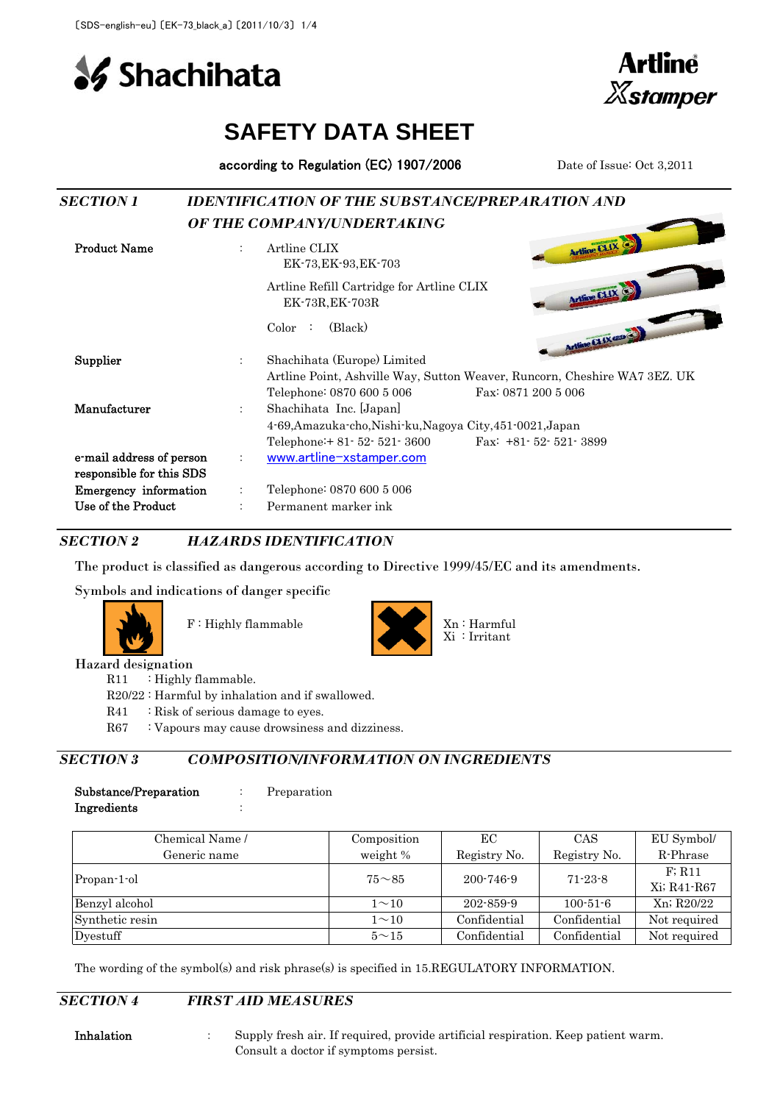**Shachihata** 



# **SAFETY DATA SHEET**

according to Regulation (EC) 1907/2006 Date of Issue: Oct 3,2011

| <b>SECTION 1</b>             |                      | <b>IDENTIFICATION OF THE SUBSTANCE/PREPARATION AND</b>       |                                                                           |  |  |
|------------------------------|----------------------|--------------------------------------------------------------|---------------------------------------------------------------------------|--|--|
|                              |                      | OF THE COMPANY/UNDERTAKING                                   |                                                                           |  |  |
| <b>Product Name</b>          | $\ddot{\phantom{a}}$ | Artline CLIX<br>EK-73, EK-93, EK-703                         | Artline CLIX                                                              |  |  |
|                              |                      | Artline Refill Cartridge for Artline CLIX<br>EK-73R, EK-703R | Artline CLIX                                                              |  |  |
|                              |                      | (Black)<br>Color                                             | Arthue CLIX and                                                           |  |  |
| <b>Supplier</b>              | $\ddot{\phantom{a}}$ | Shachihata (Europe) Limited                                  | Artline Point, Ashville Way, Sutton Weaver, Runcorn, Cheshire WA7 3EZ. UK |  |  |
|                              |                      | Telephone: 0870 600 5 006                                    | Fax: 0871 200 5 006                                                       |  |  |
| Manufacturer                 | ÷                    | Shachihata Inc. [Japan]                                      |                                                                           |  |  |
|                              |                      | 4-69, Amazuka-cho, Nishi-ku, Nagoya City, 451-0021, Japan    |                                                                           |  |  |
|                              |                      | Telephone: $+81 - 52 - 521 - 3600$                           | Fax: $+81 - 52 - 521 - 3899$                                              |  |  |
| e-mail address of person     | $\ddot{\phantom{a}}$ | www.artline-xstamper.com                                     |                                                                           |  |  |
| responsible for this SDS     |                      |                                                              |                                                                           |  |  |
| <b>Emergency</b> information |                      | Telephone: 0870 600 5 006                                    |                                                                           |  |  |
| Use of the Product           |                      | Permanent marker ink                                         |                                                                           |  |  |

*SECTION 2 HAZARDS IDENTIFICATION*

The product is classified as dangerous according to Directive 1999/45/EC and its amendments.

Symbols and indications of danger specific





Hazard designation

R11 : Highly flammable.

R20/22 : Harmful by inhalation and if swallowed.

- R41 : Risk of serious damage to eyes.
- R67 : Vapours may cause drowsiness and dizziness.

#### *SECTION 3 COMPOSITION/INFORMATION ON INGREDIENTS*

| Substance/Preparation | Preparation |
|-----------------------|-------------|
| Ingredients           |             |

| Chemical Name / | Composition  | ЕC           | CAS            | EU Symbol/            |
|-----------------|--------------|--------------|----------------|-----------------------|
| Generic name    | weight %     | Registry No. | Registry No.   | R-Phrase              |
| Propan-1-ol     | $75 - 85$    | 200-746-9    | $71 - 23 - 8$  | F: R11<br>Xi; R41-R67 |
| Benzyl alcohol  | $1\sim10$    | 202-859-9    | $100 - 51 - 6$ | Xn; R20/22            |
| Synthetic resin | $1 \sim 10$  | Confidential | Confidential   | Not required          |
| Dyestuff        | $5^{\sim}15$ | Confidential | Confidential   | Not required          |

The wording of the symbol(s) and risk phrase(s) is specified in 15.REGULATORY INFORMATION.

*SECTION 4 FIRST AID MEASURES*

Inhalation : Supply fresh air. If required, provide artificial respiration. Keep patient warm. Consult a doctor if symptoms persist.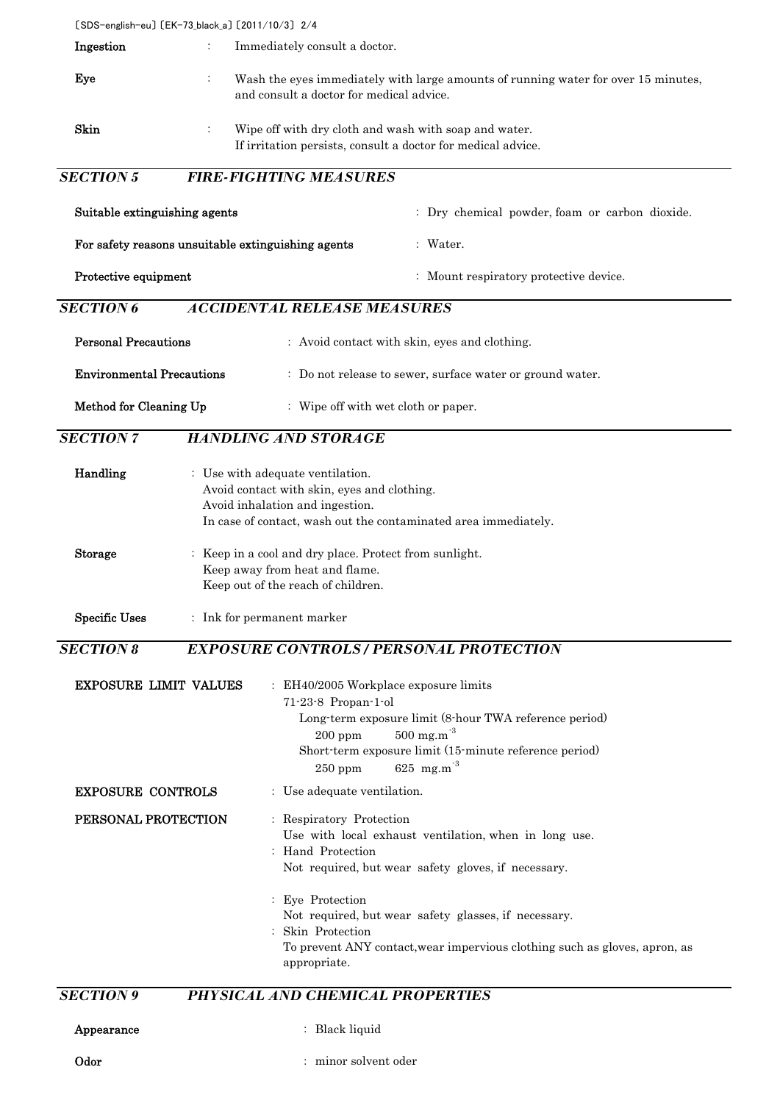〔SDS-english-eu〕 〔EK-73\_black\_a〕 〔2011/10/3〕 2/4 **Ingestion** : Immediately consult a doctor. Eye : Skin : Wipe off with dry cloth and wash with soap and water. If irritation persists, consult a doctor for medical advice. *SECTION 5 FIRE-FIGHTING MEASURES* Suitable extinguishing agents : Dry chemical powder, foam or carbon dioxide. For safety reasons unsuitable extinguishing agents : Water. Protective equipment : Mount respiratory protective device. *SECTION 6 ACCIDENTAL RELEASE MEASURES* **Personal Precautions** : Avoid contact with skin, eyes and clothing. **Environmental Precautions** : Do not release to sewer, surface water or ground water. Method for Cleaning Up : Wipe off with wet cloth or paper. *SECTION 7 HANDLING AND STORAGE* Handling : Use with adequate ventilation. Avoid contact with skin, eyes and clothing. Avoid inhalation and ingestion. In case of contact, wash out the contaminated area immediately. Storage : Keep in a cool and dry place. Protect from sunlight. Keep away from heat and flame. Keep out of the reach of children. Specific Uses : Ink for permanent marker *SECTION 8 EXPOSURE CONTROLS / PERSONAL PROTECTION* EXPOSURE LIMIT VALUES : EH40/2005 Workplace exposure limits 71-23-8 Propan-1-ol Long-term exposure limit (8-hour TWA reference period)  $200 \text{ ppm}$  500 mg.m<sup>-3</sup> Short-term exposure limit (15-minute reference period)  $250 \text{ ppm}$  625 mg.m<sup>-3</sup> **EXPOSURE CONTROLS** : Use adequate ventilation. PERSONAL PROTECTION : Respiratory Protection Use with local exhaust ventilation, when in long use. : Hand Protection Not required, but wear safety gloves, if necessary. : Eye Protection Not required, but wear safety glasses, if necessary. : Skin Protection To prevent ANY contact,wear impervious clothing such as gloves, apron, as appropriate. Wash the eyes immediately with large amounts of running water for over 15 minutes, and consult a doctor for medical advice.

### *SECTION 9 PHYSICAL AND CHEMICAL PROPERTIES*

Odor : minor solvent oder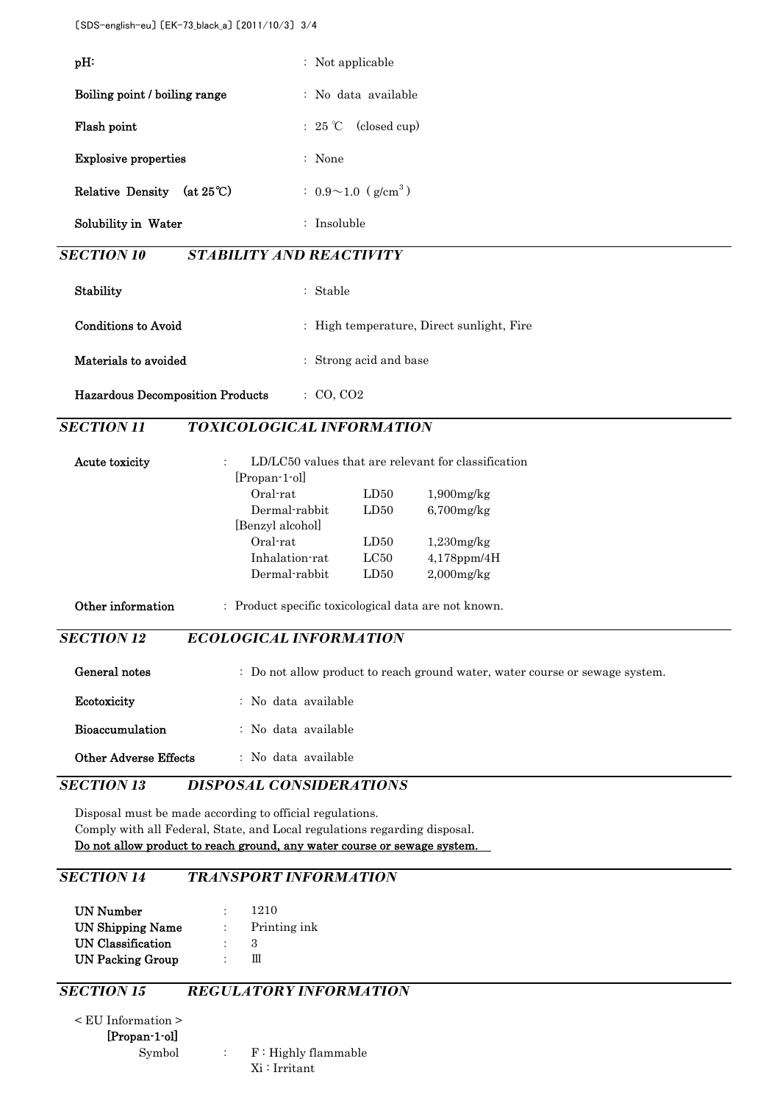| pH:                                     |                                                      | : Not applicable                      |                                                                              |
|-----------------------------------------|------------------------------------------------------|---------------------------------------|------------------------------------------------------------------------------|
| Boiling point / boiling range           |                                                      | : No data available                   |                                                                              |
| Flash point                             | : $25^{\circ}$ C                                     | (closed cup)                          |                                                                              |
| <b>Explosive properties</b>             | : None                                               |                                       |                                                                              |
| Relative Density (at $25^{\circ}$ C)    |                                                      | $: 0.9 \sim 1.0$ (g/cm <sup>3</sup> ) |                                                                              |
| Solubility in Water                     | : Insoluble                                          |                                       |                                                                              |
| <b>SECTION 10</b>                       | <b>STABILITY AND REACTIVITY</b>                      |                                       |                                                                              |
| Stability                               | : Stable                                             |                                       |                                                                              |
| <b>Conditions to Avoid</b>              |                                                      |                                       | : High temperature, Direct sunlight, Fire                                    |
| Materials to avoided                    |                                                      | : Strong acid and base                |                                                                              |
| <b>Hazardous Decomposition Products</b> | $\colon$ CO, CO <sub>2</sub>                         |                                       |                                                                              |
| <b>SECTION 11</b>                       | <b>TOXICOLOGICAL INFORMATION</b>                     |                                       |                                                                              |
| Acute toxicity                          | $\ddot{\phantom{a}}$                                 |                                       | LD/LC50 values that are relevant for classification                          |
|                                         | [Propan-1-ol]<br>Oral-rat                            | LD50                                  | $1,900$ mg/ $kg$                                                             |
|                                         | Dermal-rabbit                                        | LD50                                  | $6,700$ mg/ $kg$                                                             |
|                                         | [Benzyl alcohol]                                     |                                       |                                                                              |
|                                         | Oral-rat                                             | LD50                                  | $1,230$ mg/kg                                                                |
|                                         | Inhalation-rat                                       | LC50                                  | 4,178ppm/4H                                                                  |
|                                         | Dermal-rabbit                                        | LD50                                  | $2,000$ mg/ $kg$                                                             |
| Other information                       | : Product specific toxicological data are not known. |                                       |                                                                              |
| <b>SECTION 12</b>                       | ECOLOGICAL INFORMATION                               |                                       |                                                                              |
| General notes                           |                                                      |                                       | : Do not allow product to reach ground water, water course or sewage system. |
| Ecotoxicity                             | : No data available                                  |                                       |                                                                              |
| Bioaccumulation                         | : No data available                                  |                                       |                                                                              |
| <b>Other Adverse Effects</b>            | : No data available                                  |                                       |                                                                              |
| <b>SECTION 13</b>                       | <b>DISPOSAL CONSIDERATIONS</b>                       |                                       |                                                                              |

Disposal must be made according to official regulations. Comply with all Federal, State, and Local regulations regarding disposal. Do not allow product to reach ground, any water course or sewage system.

# *SECTION 14 TRANSPORT INFORMATION*

| UN Number               |            | 1210         |
|-------------------------|------------|--------------|
| UN Shipping Name        | $\sim 100$ | Printing ink |
| UN Classification       |            | -3           |
| <b>UN Packing Group</b> |            | Ш            |

## *SECTION 15 REGULATORY INFORMATION*

< EU Information > [Propan-1-ol]

Symbol : F: Highly flammable Xi : Irritant